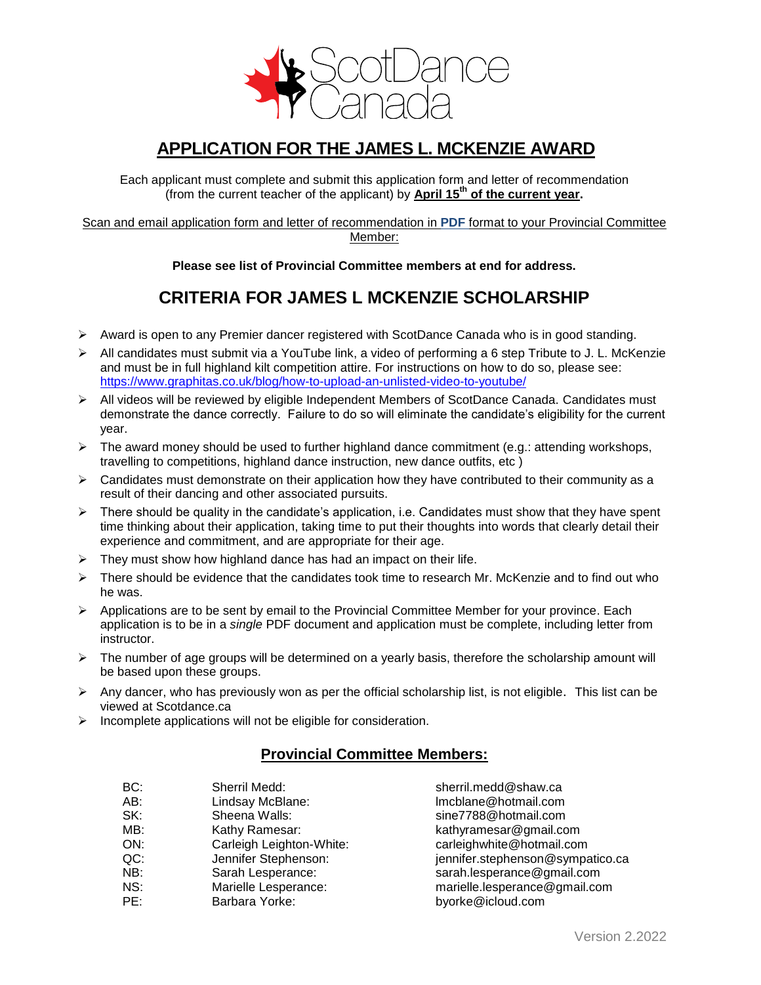

## **APPLICATION FOR THE JAMES L. MCKENZIE AWARD**

Each applicant must complete and submit this application form and letter of recommendation (from the current teacher of the applicant) by **April 15 th of the current year.**

Scan and email application form and letter of recommendation in **PDF** format to your Provincial Committee Member:

**Please see list of Provincial Committee members at end for address.**

## **CRITERIA FOR JAMES L MCKENZIE SCHOLARSHIP**

- $\triangleright$  Award is open to any Premier dancer registered with ScotDance Canada who is in good standing.
- $\triangleright$  All candidates must submit via a YouTube link, a video of performing a 6 step Tribute to J. L. McKenzie and must be in full highland kilt competition attire. For instructions on how to do so, please see: <https://www.graphitas.co.uk/blog/how-to-upload-an-unlisted-video-to-youtube/>
- All videos will be reviewed by eligible Independent Members of ScotDance Canada. Candidates must demonstrate the dance correctly. Failure to do so will eliminate the candidate's eligibility for the current year.
- $\triangleright$  The award money should be used to further highland dance commitment (e.g.: attending workshops, travelling to competitions, highland dance instruction, new dance outfits, etc )
- $\triangleright$  Candidates must demonstrate on their application how they have contributed to their community as a result of their dancing and other associated pursuits.
- $\triangleright$  There should be quality in the candidate's application, i.e. Candidates must show that they have spent time thinking about their application, taking time to put their thoughts into words that clearly detail their experience and commitment, and are appropriate for their age.
- $\triangleright$  They must show how highland dance has had an impact on their life.
- $\triangleright$  There should be evidence that the candidates took time to research Mr. McKenzie and to find out who he was.
- $\triangleright$  Applications are to be sent by email to the Provincial Committee Member for your province. Each application is to be in a *single* PDF document and application must be complete, including letter from instructor.
- $\triangleright$  The number of age groups will be determined on a yearly basis, therefore the scholarship amount will be based upon these groups.
- $\triangleright$  Any dancer, who has previously won as per the official scholarship list, is not eligible. This list can be viewed at Scotdance.ca
- $\triangleright$  Incomplete applications will not be eligible for consideration.

### **Provincial Committee Members:**

- BC: Sherril Medd: Sherril.medd@shaw.ca AB: Lindsay McBlane: lmcblane@hotmail.com SK: Sheena Walls: sine7788@hotmail.com MB: Kathy Ramesar: kathyramesar@gmail.com ON: Carleigh Leighton-White: carleighwhite@hotmail.com QC: Jennifer Stephenson: jennifer.stephenson@sympatico.ca NB: Sarah Lesperance: sarah.lesperance@gmail.com NS: Marielle Lesperance: marielle.lesperance@gmail.com PE: Barbara Yorke: byorke@icloud.com
	-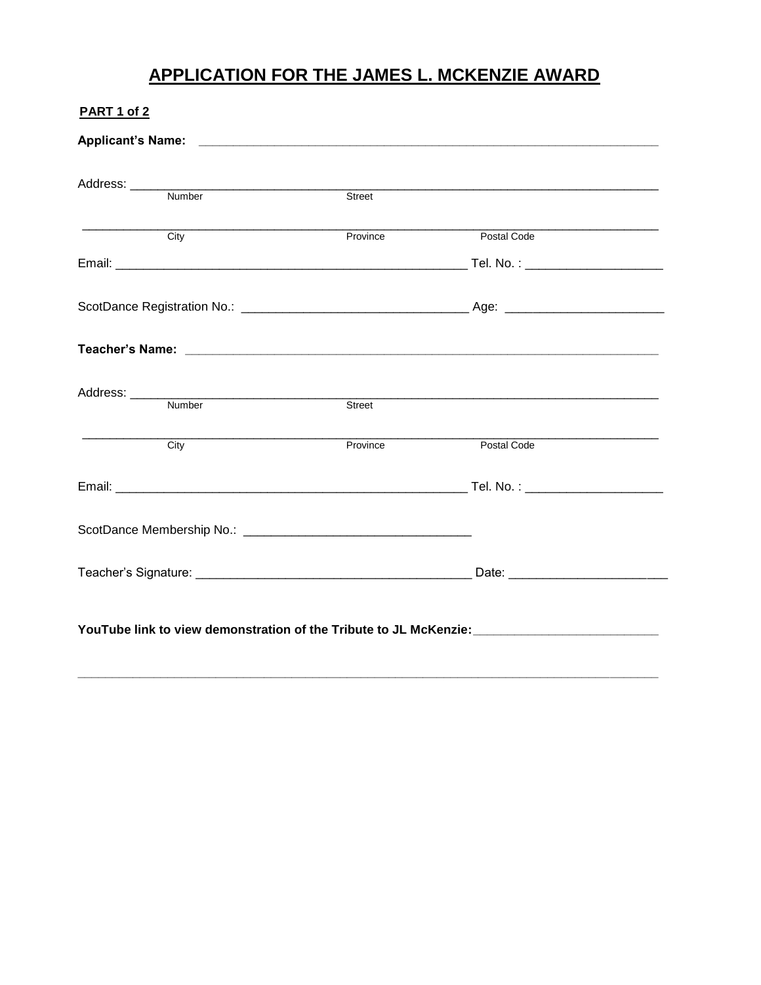# **APPLICATION FOR THE JAMES L. MCKENZIE AWARD**

| <b>PART 1 of 2</b>                                                                                  |               |                                                                                                                       |  |
|-----------------------------------------------------------------------------------------------------|---------------|-----------------------------------------------------------------------------------------------------------------------|--|
|                                                                                                     |               |                                                                                                                       |  |
| Address: <u>Number</u>                                                                              | Street        |                                                                                                                       |  |
|                                                                                                     |               | <u> 1980 - Johann Barbara, martin da basar a shekara tsa a shekara tsa a shekara tsa a shekara tsa a shekara tsa </u> |  |
| $\overline{City}$                                                                                   | Province      | Postal Code                                                                                                           |  |
|                                                                                                     |               |                                                                                                                       |  |
|                                                                                                     |               |                                                                                                                       |  |
|                                                                                                     |               |                                                                                                                       |  |
|                                                                                                     |               |                                                                                                                       |  |
|                                                                                                     | <b>Street</b> |                                                                                                                       |  |
| City                                                                                                | Province      | Postal Code                                                                                                           |  |
|                                                                                                     |               |                                                                                                                       |  |
|                                                                                                     |               |                                                                                                                       |  |
|                                                                                                     |               |                                                                                                                       |  |
| YouTube link to view demonstration of the Tribute to JL McKenzie: _________________________________ |               |                                                                                                                       |  |